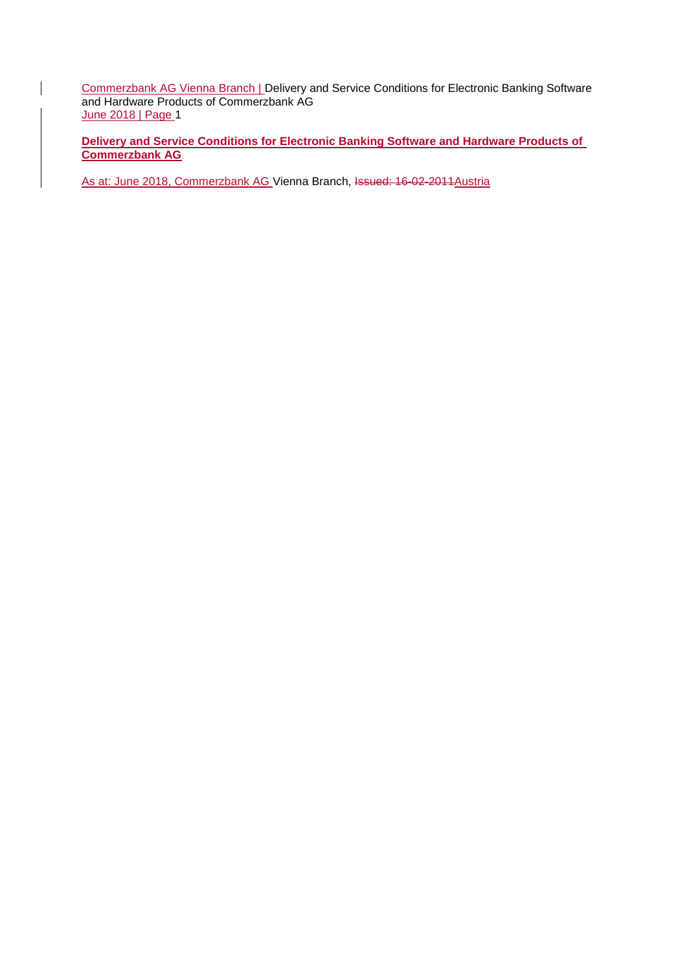**Commerzbank AG Vienna Branch | Delivery and Service Conditions for Electronic Banking Software** and Hardware Products of Commerzbank AG June 2018 | Page 1

**Delivery and Service Conditions for Electronic Banking Software and Hardware Products of Commerzbank AG**

As at: June 2018, Commerzbank AG Vienna Branch, Issued: 16-02-2011 Austria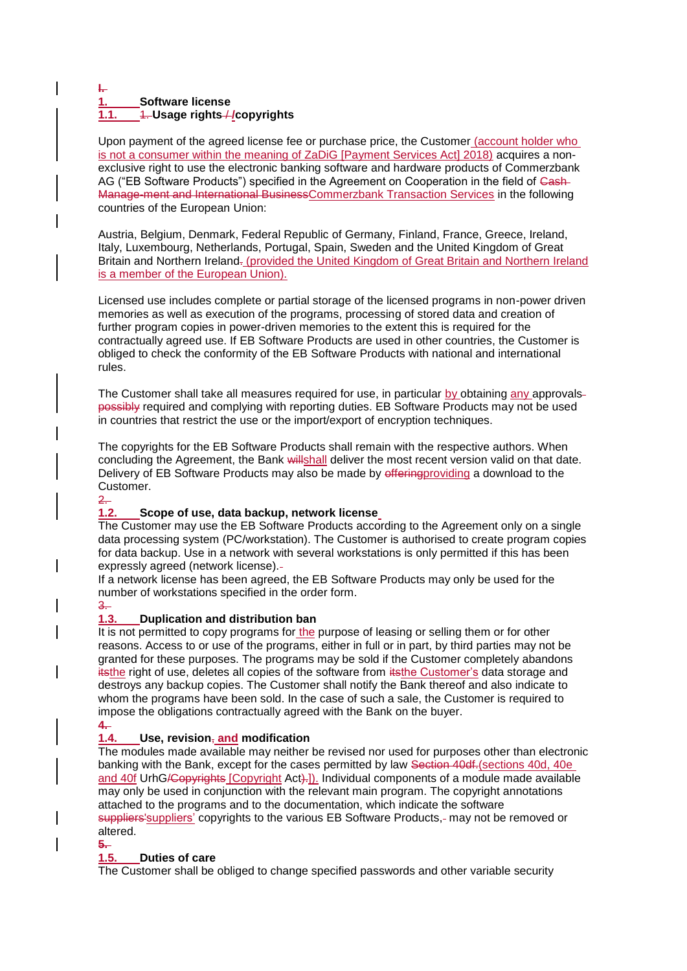### **I. 1. Software license 1.1.** 1. **Usage rights** / **/copyrights**

Upon payment of the agreed license fee or purchase price, the Customer (account holder who is not a consumer within the meaning of ZaDiG [Payment Services Act] 2018) acquires a nonexclusive right to use the electronic banking software and hardware products of Commerzbank AG ("EB Software Products") specified in the Agreement on Cooperation in the field of Cash-Manage-ment and International BusinessCommerzbank Transaction Services in the following countries of the European Union:

Austria, Belgium, Denmark, Federal Republic of Germany, Finland, France, Greece, Ireland, Italy, Luxembourg, Netherlands, Portugal, Spain, Sweden and the United Kingdom of Great Britain and Northern Ireland. (provided the United Kingdom of Great Britain and Northern Ireland is a member of the European Union).

Licensed use includes complete or partial storage of the licensed programs in non-power driven memories as well as execution of the programs, processing of stored data and creation of further program copies in power-driven memories to the extent this is required for the contractually agreed use. If EB Software Products are used in other countries, the Customer is obliged to check the conformity of the EB Software Products with national and international rules.

The Customer shall take all measures required for use, in particular  $\underline{b}y$  obtaining  $\underline{a}ny$  approvalspossibly required and complying with reporting duties. EB Software Products may not be used in countries that restrict the use or the import/export of encryption techniques.

The copyrights for the EB Software Products shall remain with the respective authors. When concluding the Agreement, the Bank willshall deliver the most recent version valid on that date. Delivery of EB Software Products may also be made by effering providing a download to the Customer.

### 2.

## **1.2. Scope of use, data backup, network license**

The Customer may use the EB Software Products according to the Agreement only on a single data processing system (PC/workstation). The Customer is authorised to create program copies for data backup. Use in a network with several workstations is only permitted if this has been expressly agreed (network license).

If a network license has been agreed, the EB Software Products may only be used for the number of workstations specified in the order form.

# 3.

## **1.3. Duplication and distribution ban**

It is not permitted to copy programs for the purpose of leasing or selling them or for other reasons. Access to or use of the programs, either in full or in part, by third parties may not be granted for these purposes. The programs may be sold if the Customer completely abandons itsthe right of use, deletes all copies of the software from itsthe Customer's data storage and destroys any backup copies. The Customer shall notify the Bank thereof and also indicate to whom the programs have been sold. In the case of such a sale, the Customer is required to impose the obligations contractually agreed with the Bank on the buyer.

## **4.**

## **1.4. Use, revision**, **and modification**

The modules made available may neither be revised nor used for purposes other than electronic banking with the Bank, except for the cases permitted by law Section 40df.(sections 40d, 40e and 40f UrhG/Copyrights [Copyright Act).]). Individual components of a module made available may only be used in conjunction with the relevant main program. The copyright annotations attached to the programs and to the documentation, which indicate the software suppliers' suppliers' copyrights to the various EB Software Products,- may not be removed or altered.

#### **5.**

## **1.5. Duties of care**

The Customer shall be obliged to change specified passwords and other variable security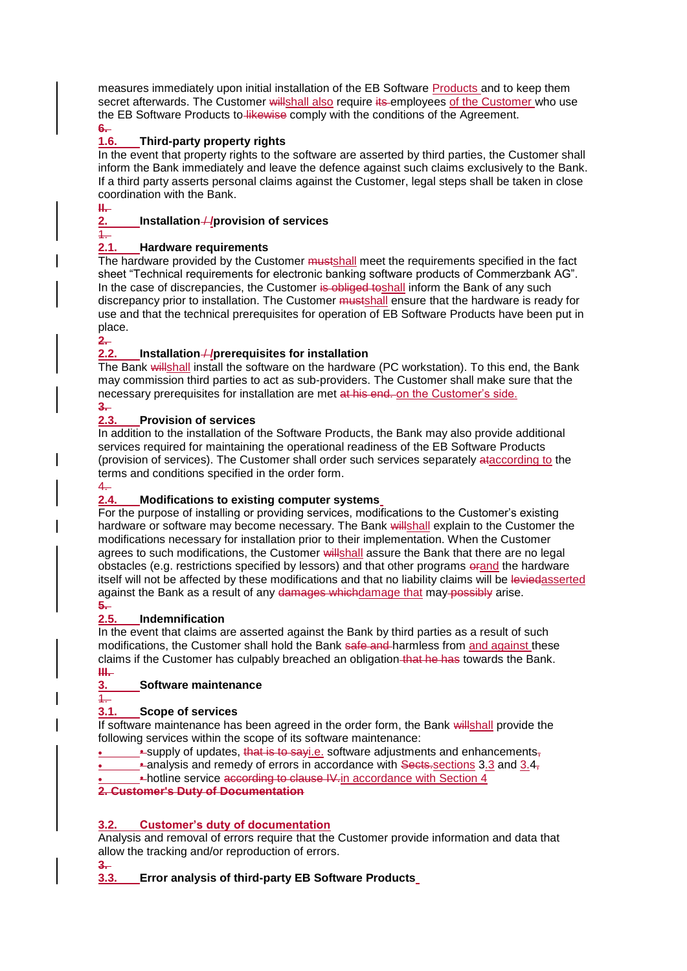measures immediately upon initial installation of the EB Software Products and to keep them secret afterwards. The Customer willshall also require its employees of the Customer who use the EB Software Products to likewise comply with the conditions of the Agreement.

#### <del>6.</del><br>1.6. **1.6. Third-party property rights**

In the event that property rights to the software are asserted by third parties, the Customer shall inform the Bank immediately and leave the defence against such claims exclusively to the Bank. If a third party asserts personal claims against the Customer, legal steps shall be taken in close coordination with the Bank. **II.** 

# **2. Installation** / **/provision of services**

 $\overline{1}$ 

## **2.1. Hardware requirements**

The hardware provided by the Customer mustshall meet the requirements specified in the fact sheet "Technical requirements for electronic banking software products of Commerzbank AG". In the case of discrepancies, the Customer is obliged to shall inform the Bank of any such discrepancy prior to installation. The Customer mustshall ensure that the hardware is ready for use and that the technical prerequisites for operation of EB Software Products have been put in place.

### **2.**

# **2.2. Installation** / **/prerequisites for installation**

The Bank willshall install the software on the hardware (PC workstation). To this end, the Bank may commission third parties to act as sub-providers. The Customer shall make sure that the necessary prerequisites for installation are met at his end. on the Customer's side.

#### $\frac{3}{2.3}$ . **2.3. Provision of services**

In addition to the installation of the Software Products, the Bank may also provide additional services required for maintaining the operational readiness of the EB Software Products (provision of services). The Customer shall order such services separately ataccording to the terms and conditions specified in the order form.

# 4.

# **2.4. Modifications to existing computer systems**

For the purpose of installing or providing services, modifications to the Customer's existing hardware or software may become necessary. The Bank willshall explain to the Customer the modifications necessary for installation prior to their implementation. When the Customer agrees to such modifications, the Customer willshall assure the Bank that there are no legal obstacles (e.g. restrictions specified by lessors) and that other programs orand the hardware itself will not be affected by these modifications and that no liability claims will be leviedasserted against the Bank as a result of any damages whichdamage that may possibly arise.

# **5.**

## **2.5. Indemnification**

In the event that claims are asserted against the Bank by third parties as a result of such modifications, the Customer shall hold the Bank safe and harmless from and against these claims if the Customer has culpably breached an obligation that he has towards the Bank. **III.** 

## **3. Software maintenance**

1.

# **3.1. Scope of services**

If software maintenance has been agreed in the order form, the Bank willshall provide the following services within the scope of its software maintenance:

**EXALUATE:**  $\epsilon$  is that is to say i.e. software adjustments and enhancements-

- analysis and remedy of errors in accordance with Sects-sections 3.3 and 3.4–
	- hotline service according to clause IV. in accordance with Section 4

**2. Customer's Duty of Documentation**

# **3.2. Customer's duty of documentation**

Analysis and removal of errors require that the Customer provide information and data that allow the tracking and/or reproduction of errors.

**3.** 

# **3.3. Error analysis of third-party EB Software Products**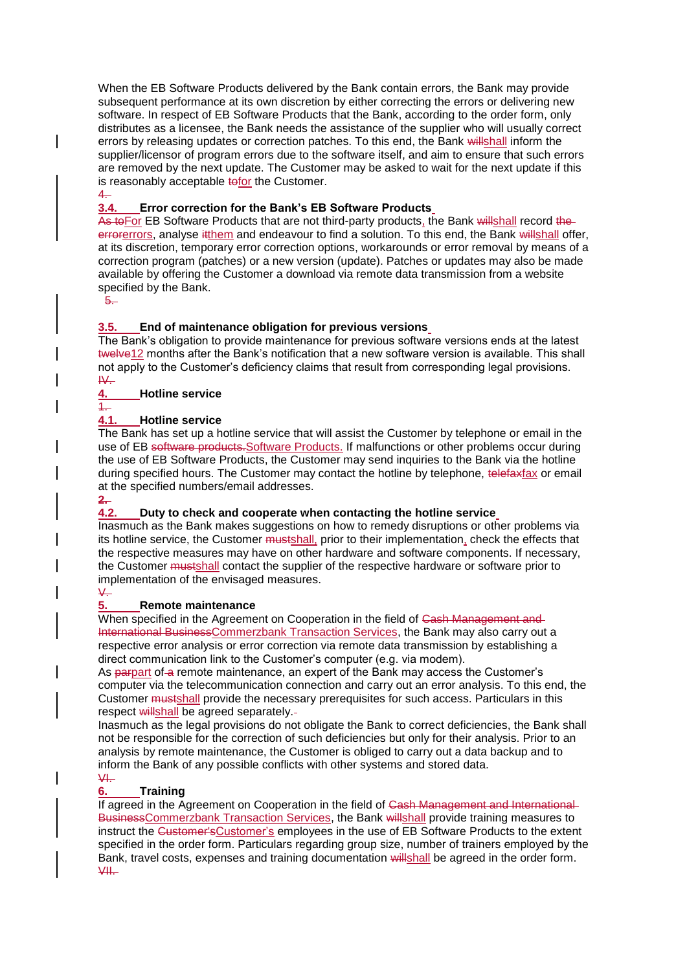When the EB Software Products delivered by the Bank contain errors, the Bank may provide subsequent performance at its own discretion by either correcting the errors or delivering new software. In respect of EB Software Products that the Bank, according to the order form, only distributes as a licensee, the Bank needs the assistance of the supplier who will usually correct errors by releasing updates or correction patches. To this end, the Bank willshall inform the supplier/licensor of program errors due to the software itself, and aim to ensure that such errors are removed by the next update. The Customer may be asked to wait for the next update if this is reasonably acceptable to for the Customer. 4.

## **3.4. Error correction for the Bank's EB Software Products**

As to For EB Software Products that are not third-party products, the Bank willshall record the errorerrors, analyse it them and endeavour to find a solution. To this end, the Bank will shall offer, at its discretion, temporary error correction options, workarounds or error removal by means of a correction program (patches) or a new version (update). Patches or updates may also be made available by offering the Customer a download via remote data transmission from a website specified by the Bank.

5.

## **3.5. End of maintenance obligation for previous versions**

The Bank's obligation to provide maintenance for previous software versions ends at the latest twelve12 months after the Bank's notification that a new software version is available. This shall not apply to the Customer's deficiency claims that result from corresponding legal provisions.  $W_{\cdot}$ 

## **4. Hotline service**

## 1.

### **4.1. Hotline service**

The Bank has set up a hotline service that will assist the Customer by telephone or email in the use of EB software products. Software Products. If malfunctions or other problems occur during the use of EB Software Products, the Customer may send inquiries to the Bank via the hotline during specified hours. The Customer may contact the hotline by telephone, telefaxfax or email at the specified numbers/email addresses.

**2.** 

## **4.2. Duty to check and cooperate when contacting the hotline service**

Inasmuch as the Bank makes suggestions on how to remedy disruptions or other problems via its hotline service, the Customer mustshall, prior to their implementation, check the effects that the respective measures may have on other hardware and software components. If necessary, the Customer mustshall contact the supplier of the respective hardware or software prior to implementation of the envisaged measures.

 $\sqrt{2}$ 

## **5. Remote maintenance**

When specified in the Agreement on Cooperation in the field of Cash Management and International BusinessCommerzbank Transaction Services, the Bank may also carry out a respective error analysis or error correction via remote data transmission by establishing a direct communication link to the Customer's computer (e.g. via modem).

As parpart of a remote maintenance, an expert of the Bank may access the Customer's computer via the telecommunication connection and carry out an error analysis. To this end, the Customer mustshall provide the necessary prerequisites for such access. Particulars in this respect willshall be agreed separately.-

Inasmuch as the legal provisions do not obligate the Bank to correct deficiencies, the Bank shall not be responsible for the correction of such deficiencies but only for their analysis. Prior to an analysis by remote maintenance, the Customer is obliged to carry out a data backup and to inform the Bank of any possible conflicts with other systems and stored data.  $\Psi$ .

## **6. Training**

If agreed in the Agreement on Cooperation in the field of Cash Management and International BusinessCommerzbank Transaction Services, the Bank willshall provide training measures to instruct the Customer's Customer's employees in the use of EB Software Products to the extent specified in the order form. Particulars regarding group size, number of trainers employed by the Bank, travel costs, expenses and training documentation willshall be agreed in the order form.  $V$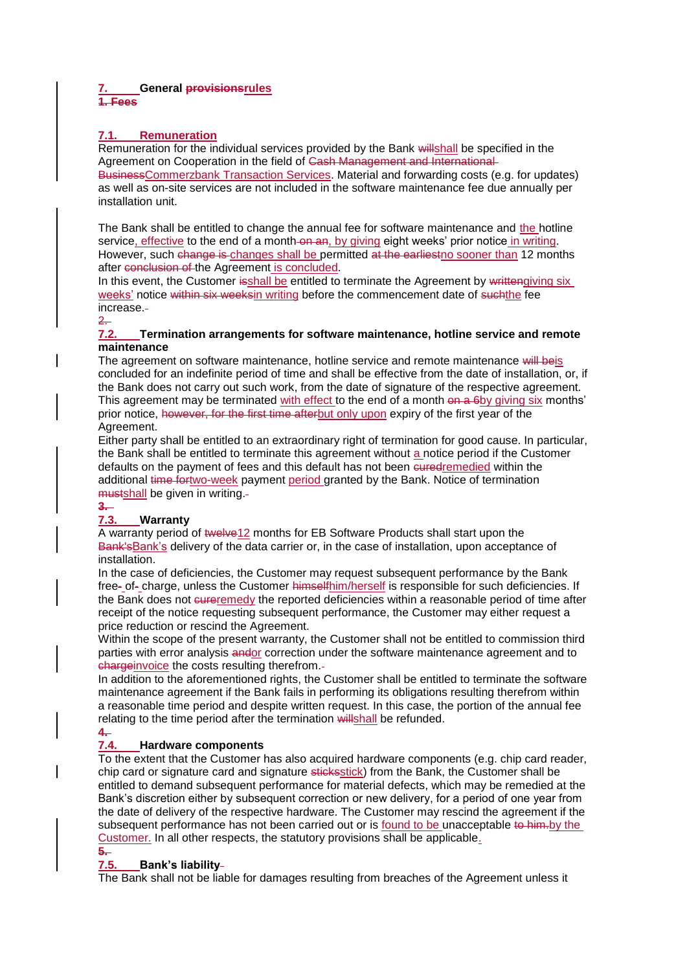### **7. General provisionsrules 1. Fees**

## **7.1. Remuneration**

Remuneration for the individual services provided by the Bank willshall be specified in the Agreement on Cooperation in the field of Cash Management and International BusinessCommerzbank Transaction Services. Material and forwarding costs (e.g. for updates) as well as on-site services are not included in the software maintenance fee due annually per installation unit.

The Bank shall be entitled to change the annual fee for software maintenance and the hotline service, effective to the end of a month on an, by giving eight weeks' prior notice in writing. However, such change is changes shall be permitted at the earliest no sooner than 12 months after conclusion of the Agreement is concluded.

In this event, the Customer isshall be entitled to terminate the Agreement by writtengiving six weeks' notice within six weeksin writing before the commencement date of such the fee increase.

### 2.

### **7.2. Termination arrangements for software maintenance, hotline service and remote maintenance**

The agreement on software maintenance, hotline service and remote maintenance will beis concluded for an indefinite period of time and shall be effective from the date of installation, or, if the Bank does not carry out such work, from the date of signature of the respective agreement. This agreement may be terminated with effect to the end of a month on a 6by giving six months' prior notice, however, for the first time afterbut only upon expiry of the first year of the Agreement.

Either party shall be entitled to an extraordinary right of termination for good cause. In particular, the Bank shall be entitled to terminate this agreement without a notice period if the Customer defaults on the payment of fees and this default has not been euredremedied within the additional time fortwo-week payment period granted by the Bank. Notice of termination mustshall be given in writing.

# **3.**

### **7.3. Warranty**

A warranty period of twelve12 months for EB Software Products shall start upon the Bank'sBank's delivery of the data carrier or, in the case of installation, upon acceptance of installation.

In the case of deficiencies, the Customer may request subsequent performance by the Bank free- of- charge, unless the Customer himselfhim/herself is responsible for such deficiencies. If the Bank does not eureremedy the reported deficiencies within a reasonable period of time after receipt of the notice requesting subsequent performance, the Customer may either request a price reduction or rescind the Agreement.

Within the scope of the present warranty, the Customer shall not be entitled to commission third parties with error analysis andor correction under the software maintenance agreement and to chargeinvoice the costs resulting therefrom.

In addition to the aforementioned rights, the Customer shall be entitled to terminate the software maintenance agreement if the Bank fails in performing its obligations resulting therefrom within a reasonable time period and despite written request. In this case, the portion of the annual fee relating to the time period after the termination willshall be refunded.

# **4.**

## **7.4. Hardware components**

To the extent that the Customer has also acquired hardware components (e.g. chip card reader, chip card or signature card and signature stickesstick) from the Bank, the Customer shall be entitled to demand subsequent performance for material defects, which may be remedied at the Bank's discretion either by subsequent correction or new delivery, for a period of one year from the date of delivery of the respective hardware. The Customer may rescind the agreement if the subsequent performance has not been carried out or is found to be unacceptable to him.by the Customer. In all other respects, the statutory provisions shall be applicable. **5.** 

## **7.5. Bank's liability**

The Bank shall not be liable for damages resulting from breaches of the Agreement unless it